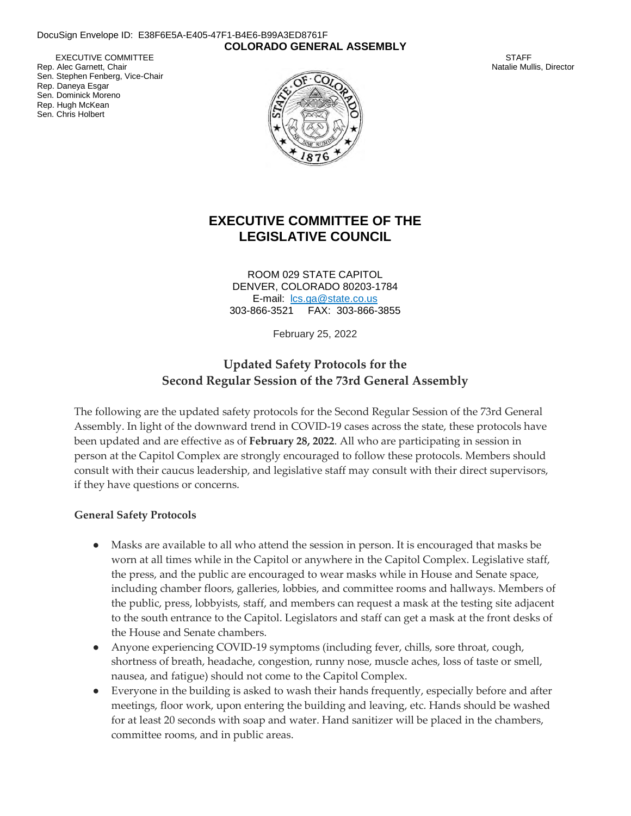#### DocuSign Envelope ID: E38F6E5A-E405-47F1-B4E6-B99A3ED8761F **COLORADO GENERAL ASSEMBLY**

EXECUTIVE COMMITTEE Rep. Alec Garnett, Chair Sen. Stephen Fenberg, Vice-Chair Rep. Daneya Esgar Sen. Dominick Moreno Rep. Hugh McKean Sen. Chris Holbert



**STAFF** Natalie Mullis, Director

## **EXECUTIVE COMMITTEE OF THE LEGISLATIVE COUNCIL**

ROOM 029 STATE CAPITOL DENVER, COLORADO 80203-1784 E-mail: lcs.ga@state.co.us 303-866-3521 FAX: 303-866-3855

February 25, 2022

## **Updated Safety Protocols for the Second Regular Session of the 73rd General Assembly**

The following are the updated safety protocols for the Second Regular Session of the 73rd General Assembly. In light of the downward trend in COVID-19 cases across the state, these protocols have been updated and are effective as of **February 28, 2022**. All who are participating in session in person at the Capitol Complex are strongly encouraged to follow these protocols. Members should consult with their caucus leadership, and legislative staff may consult with their direct supervisors, if they have questions or concerns.

#### **General Safety Protocols**

- Masks are available to all who attend the session in person. It is encouraged that masks be worn at all times while in the Capitol or anywhere in the Capitol Complex. Legislative staff, the press, and the public are encouraged to wear masks while in House and Senate space, including chamber floors, galleries, lobbies, and committee rooms and hallways. Members of the public, press, lobbyists, staff, and members can request a mask at the testing site adjacent to the south entrance to the Capitol. Legislators and staff can get a mask at the front desks of the House and Senate chambers.
- Anyone experiencing COVID-19 symptoms (including fever, chills, sore throat, cough, shortness of breath, headache, congestion, runny nose, muscle aches, loss of taste or smell, nausea, and fatigue) should not come to the Capitol Complex.
- Everyone in the building is asked to wash their hands frequently, especially before and after meetings, floor work, upon entering the building and leaving, etc. Hands should be washed for at least 20 seconds with soap and water. Hand sanitizer will be placed in the chambers, committee rooms, and in public areas.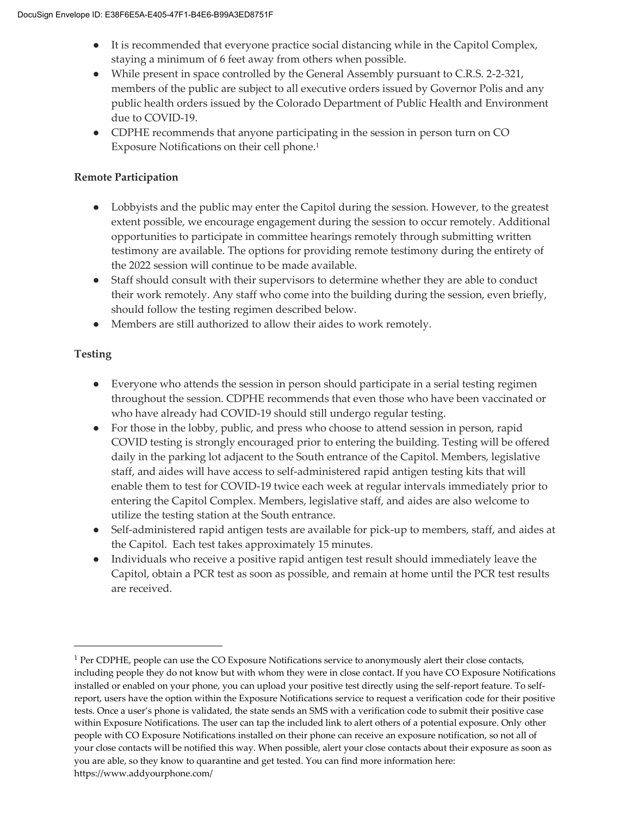- It is recommended that everyone practice social distancing while in the Capitol Complex, staying a minimum of 6 feet away from others when possible.
- While present in space controlled by the General Assembly pursuant to C.R.S. 2-2-321, members of the public are subject to all executive orders issued by Governor Polis and any public health orders issued by the Colorado Department of Public Health and Environment due to COVID-19.
- CDPHE recommends that anyone participating in the session in person turn on CO Exposure Notifications on their cell phone.<sup>1</sup>

#### **Remote Participation**

- Lobbyists and the public may enter the Capitol during the session. However, to the greatest extent possible, we encourage engagement during the session to occur remotely. Additional opportunities to participate in committee hearings remotely through submitting written testimony are available. The options for providing remote testimony during the entirety of the 2022 session will continue to be made available.
- Staff should consult with their supervisors to determine whether they are able to conduct their work remotely. Any staff who come into the building during the session, even briefly, should follow the testing regimen described below.
- Members are still authorized to allow their aides to work remotely.

### **Testing**

j

- Everyone who attends the session in person should participate in a serial testing regimen throughout the session. CDPHE recommends that even those who have been vaccinated or who have already had COVID-19 should still undergo regular testing.
- For those in the lobby, public, and press who choose to attend session in person, rapid COVID testing is strongly encouraged prior to entering the building. Testing will be offered daily in the parking lot adjacent to the South entrance of the Capitol. Members, legislative staff, and aides will have access to self-administered rapid antigen testing kits that will enable them to test for COVID-19 twice each week at regular intervals immediately prior to entering the Capitol Complex. Members, legislative staff, and aides are also welcome to utilize the testing station at the South entrance.
- Self-administered rapid antigen tests are available for pick-up to members, staff, and aides at the Capitol. Each test takes approximately 15 minutes.
- Individuals who receive a positive rapid antigen test result should immediately leave the Capitol, obtain a PCR test as soon as possible, and remain at home until the PCR test results are received.

<sup>1</sup> Per CDPHE, people can use the CO Exposure Notifications service to anonymously alert their close contacts, including people they do not know but with whom they were in close contact. If you have CO Exposure Notifications installed or enabled on your phone, you can upload your positive test directly using the self-report feature. To selfreport, users have the option within the Exposure Notifications service to request a verification code for their positive tests. Once a user's phone is validated, the state sends an SMS with a verification code to submit their positive case within Exposure Notifications. The user can tap the included link to alert others of a potential exposure. Only other people with CO Exposure Notifications installed on their phone can receive an exposure notification, so not all of your close contacts will be notified this way. When possible, alert your close contacts about their exposure as soon as you are able, so they know to quarantine and get tested. You can find more information here: https://www.addyourphone.com/